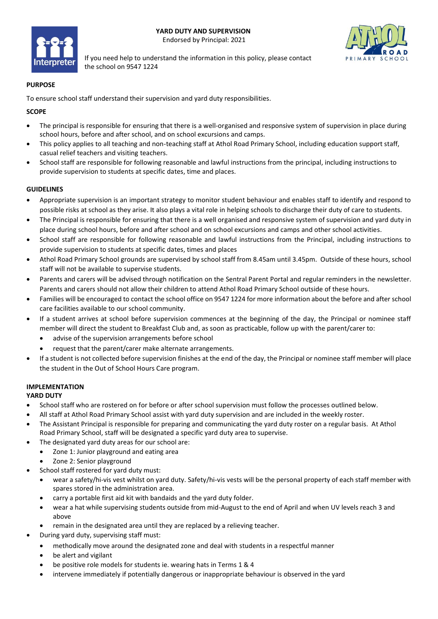



If you need help to understand the information in this policy, please contact the school on 9547 1224

#### **PURPOSE**

To ensure school staff understand their supervision and yard duty responsibilities.

### **SCOPE**

- The principal is responsible for ensuring that there is a well-organised and responsive system of supervision in place during school hours, before and after school, and on school excursions and camps.
- This policy applies to all teaching and non-teaching staff at Athol Road Primary School, including education support staff, casual relief teachers and visiting teachers.
- School staff are responsible for following reasonable and lawful instructions from the principal, including instructions to provide supervision to students at specific dates, time and places.

#### **GUIDELINES**

- Appropriate supervision is an important strategy to monitor student behaviour and enables staff to identify and respond to possible risks at school as they arise. It also plays a vital role in helping schools to discharge their duty of care to students.
- The Principal is responsible for ensuring that there is a well organised and responsive system of supervision and yard duty in place during school hours, before and after school and on school excursions and camps and other school activities.
- School staff are responsible for following reasonable and lawful instructions from the Principal, including instructions to provide supervision to students at specific dates, times and places
- Athol Road Primary School grounds are supervised by school staff from 8.45am until 3.45pm. Outside of these hours, school staff will not be available to supervise students.
- Parents and carers will be advised through notification on the Sentral Parent Portal and regular reminders in the newsletter. Parents and carers should not allow their children to attend Athol Road Primary School outside of these hours.
- Families will be encouraged to contact the school office on 9547 1224 for more information about the before and after school care facilities available to our school community.
- If a student arrives at school before supervision commences at the beginning of the day, the Principal or nominee staff member will direct the student to Breakfast Club and, as soon as practicable, follow up with the parent/carer to:
	- advise of the supervision arrangements before school
	- request that the parent/carer make alternate arrangements.
- If a student is not collected before supervision finishes at the end of the day, the Principal or nominee staff member will place the student in the Out of School Hours Care program.

#### **IMPLEMENTATION YARD DUTY**

- School staff who are rostered on for before or after school supervision must follow the processes outlined below.
- All staff at Athol Road Primary School assist with yard duty supervision and are included in the weekly roster.
- The Assistant Principal is responsible for preparing and communicating the yard duty roster on a regular basis. At Athol Road Primary School, staff will be designated a specific yard duty area to supervise.
- The designated yard duty areas for our school are:
	- Zone 1: Junior playground and eating area
	- Zone 2: Senior playground
- School staff rostered for yard duty must:
	- wear a safety/hi-vis vest whilst on yard duty. Safety/hi-vis vests will be the personal property of each staff member with spares stored in the administration area.
	- carry a portable first aid kit with bandaids and the yard duty folder.
	- wear a hat while supervising students outside from mid-August to the end of April and when UV levels reach 3 and above
	- remain in the designated area until they are replaced by a relieving teacher.
- During yard duty, supervising staff must:
	- methodically move around the designated zone and deal with students in a respectful manner
	- be alert and vigilant
	- be positive role models for students ie. wearing hats in Terms 1 & 4
	- intervene immediately if potentially dangerous or inappropriate behaviour is observed in the yard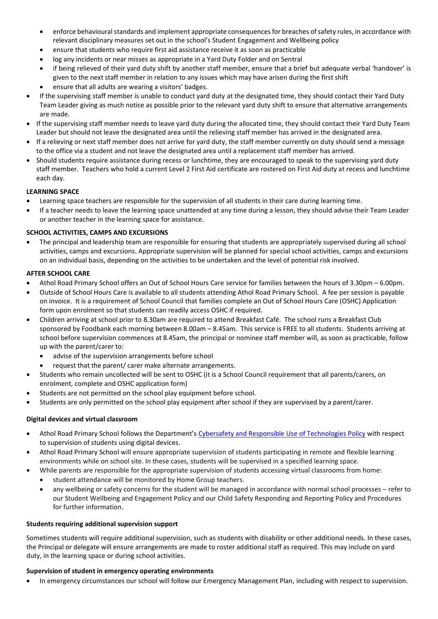- enforce behavioural standards and implement appropriate consequences for breaches of safety rules, in accordance with relevant disciplinary measures set out in the school's Student Engagement and Wellbeing policy
- ensure that students who require first aid assistance receive it as soon as practicable
- log any incidents or near misses as appropriate in a Yard Duty Folder and on Sentral
- if being relieved of their yard duty shift by another staff member, ensure that a brief but adequate verbal 'handover' is given to the next staff member in relation to any issues which may have arisen during the first shift
- ensure that all adults are wearing a visitors' badges.
- If the supervising staff member is unable to conduct yard duty at the designated time, they should contact their Yard Duty Team Leader giving as much notice as possible prior to the relevant yard duty shift to ensure that alternative arrangements are made.
- If the supervising staff member needs to leave yard duty during the allocated time, they should contact their Yard Duty Team Leader but should not leave the designated area until the relieving staff member has arrived in the designated area.
- If a relieving or next staff member does not arrive for yard duty, the staff member currently on duty should send a message to the office via a student and not leave the designated area until a replacement staff member has arrived.
- Should students require assistance during recess or lunchtime, they are encouraged to speak to the supervising yard duty staff member. Teachers who hold a current Level 2 First Aid certificate are rostered on First Aid duty at recess and lunchtime each day.

# **LEARNING SPACE**

- Learning space teachers are responsible for the supervision of all students in their care during learning time.
- If a teacher needs to leave the learning space unattended at any time during a lesson, they should advise their Team Leader or another teacher in the learning space for assistance.

# **SCHOOL ACTIVITIES, CAMPS AND EXCURSIONS**

• The principal and leadership team are responsible for ensuring that students are appropriately supervised during all school activities, camps and excursions. Appropriate supervision will be planned for special school activities, camps and excursions on an individual basis, depending on the activities to be undertaken and the level of potential risk involved.

# **AFTER SCHOOL CARE**

- Athol Road Primary School offers an Out of School Hours Care service for families between the hours of 3.30pm 6.00pm.
- Outside of School Hours Care is available to all students attending Athol Road Primary School. A fee per session is payable on invoice. It is a requirement of School Council that families complete an Out of School Hours Care (OSHC) Application form upon enrolment so that students can readily access OSHC if required.
- Children arriving at school prior to 8.30am are required to attend Breakfast Café. The school runs a Breakfast Club sponsored by Foodbank each morning between 8.00am – 8.45am. This service is FREE to all students. Students arriving at school before supervision commences at 8.45am, the principal or nominee staff member will, as soon as practicable, follow up with the parent/carer to:
	- advise of the supervision arrangements before school
	- request that the parent/ carer make alternate arrangements.
- Students who remain uncollected will be sent to OSHC (it is a School Council requirement that all parents/carers, on enrolment, complete and OSHC application form)
- Students are not permitted on the school play equipment before school.
- Students are only permitted on the school play equipment after school if they are supervised by a parent/carer.

#### **Digital devices and virtual classroom**

- Athol Road Primary School follows the Department's [Cybersafety and Responsible Use of Technologies Policy](https://www2.education.vic.gov.au/pal/cybersafety/policy) with respect to supervision of students using digital devices.
- Athol Road Primary School will ensure appropriate supervision of students participating in remote and flexible learning environments while on school site. In these cases, students will be supervised in a specified learning space.
- While parents are responsible for the appropriate supervision of students accessing virtual classrooms from home:
	- student attendance will be monitored by Home Group teachers.
	- any wellbeing or safety concerns for the student will be managed in accordance with normal school processes refer to our Student Wellbeing and Engagement Policy and our Child Safety Responding and Reporting Policy and Procedures for further information.

### **Students requiring additional supervision support**

Sometimes students will require additional supervision, such as students with disability or other additional needs. In these cases, the Principal or delegate will ensure arrangements are made to roster additional staff as required. This may include on yard duty, in the learning space or during school activities.

#### **Supervision of student in emergency operating environments**

• In emergency circumstances our school will follow our Emergency Management Plan, including with respect to supervision.